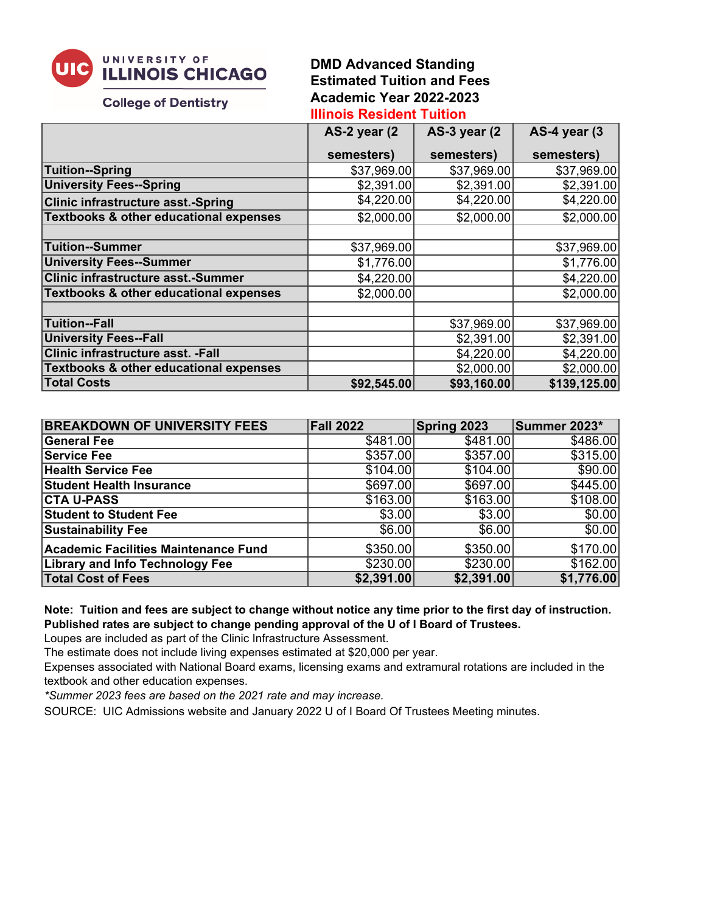

# **DMD Advanced Standing Estimated Tuition and Fees Academic Year 2022-2023**

#### **College of Dentistry**

## **Illinois Resident Tuition**

|                                                   | AS-2 year (2 | <b>AS-3 year (2)</b> | AS-4 year (3 |
|---------------------------------------------------|--------------|----------------------|--------------|
|                                                   | semesters)   | semesters)           | semesters)   |
| Tuition--Spring                                   | \$37,969.00  | \$37,969.00          | \$37,969.00  |
| <b>University Fees--Spring</b>                    | \$2,391.00   | \$2,391.00           | \$2,391.00   |
| <b>Clinic infrastructure asst.-Spring</b>         | \$4,220.00   | \$4,220.00           | \$4,220.00   |
| <b>Textbooks &amp; other educational expenses</b> | \$2,000.00   | \$2,000.00]          | \$2,000.00   |
|                                                   |              |                      |              |
| Tuition--Summer                                   | \$37,969.00  |                      | \$37,969.00  |
| <b>University Fees--Summer</b>                    | \$1,776.00   |                      | \$1,776.00   |
| <b>Clinic infrastructure asst.-Summer</b>         | \$4,220.00   |                      | \$4,220.00   |
| Textbooks & other educational expenses            | \$2,000.00   |                      | \$2,000.00]  |
|                                                   |              |                      |              |
| Tuition--Fall                                     |              | \$37,969.00          | \$37,969.00  |
| <b>University Fees--Fall</b>                      |              | \$2,391.00           | \$2,391.00   |
| Clinic infrastructure asst. - Fall                |              | \$4,220.00           | \$4,220.00   |
| Textbooks & other educational expenses            |              | \$2,000.00]          | \$2,000.00]  |
| <b>Total Costs</b>                                | \$92,545.00  | \$93,160.00          | \$139,125.00 |

| <b>BREAKDOWN OF UNIVERSITY FEES</b>    | <b>Fall 2022</b> | Spring 2023 | Summer 2023* |
|----------------------------------------|------------------|-------------|--------------|
| General Fee                            | \$481.00         | \$481.00    | \$486.00     |
| <b>Service Fee</b>                     | \$357.00         | \$357.00    | \$315.00     |
| <b>Health Service Fee</b>              | \$104.00         | \$104.00    | \$90.00      |
| <b>Student Health Insurance</b>        | \$697.00         | \$697.00    | \$445.00     |
| <b>CTA U-PASS</b>                      | \$163.00         | \$163.00    | \$108.00     |
| <b>Student to Student Fee</b>          | \$3.00           | \$3.00      | \$0.00       |
| <b>Sustainability Fee</b>              | \$6.00           | \$6.00      | \$0.00       |
| Academic Facilities Maintenance Fund   | \$350.00         | \$350.00    | \$170.00     |
| <b>Library and Info Technology Fee</b> | \$230.00         | \$230.00    | \$162.00     |
| <b>Total Cost of Fees</b>              | \$2,391.00       | \$2,391.00  | \$1,776.00   |

### **Note: Tuition and fees are subject to change without notice any time prior to the first day of instruction. Published rates are subject to change pending approval of the U of I Board of Trustees.**

Loupes are included as part of the Clinic Infrastructure Assessment.

The estimate does not include living expenses estimated at \$20,000 per year.

Expenses associated with National Board exams, licensing exams and extramural rotations are included in the textbook and other education expenses.

*\*Summer 2023 fees are based on the 2021 rate and may increase.*

SOURCE: UIC Admissions website and January 2022 U of I Board Of Trustees Meeting minutes.